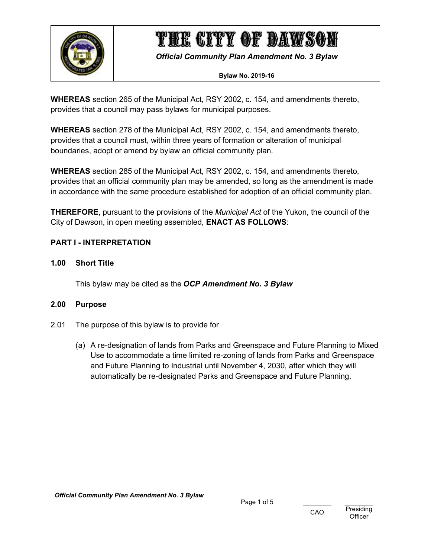

*Official Community Plan Amendment No. 3 Bylaw*

### **Bylaw No. 2019-16**

**WHEREAS** section 265 of the Municipal Act, RSY 2002, c. 154, and amendments thereto, provides that a council may pass bylaws for municipal purposes.

**WHEREAS** section 278 of the Municipal Act, RSY 2002, c. 154, and amendments thereto, provides that a council must, within three years of formation or alteration of municipal boundaries, adopt or amend by bylaw an official community plan.

**WHEREAS** section 285 of the Municipal Act, RSY 2002, c. 154, and amendments thereto, provides that an official community plan may be amended, so long as the amendment is made in accordance with the same procedure established for adoption of an official community plan.

**THEREFORE**, pursuant to the provisions of the *Municipal Act* of the Yukon, the council of the City of Dawson, in open meeting assembled, **ENACT AS FOLLOWS**:

# <span id="page-0-0"></span>**PART I - INTERPRETATION**

### <span id="page-0-1"></span>**1.00 Short Title**

This bylaw may be cited as the *OCP Amendment No. 3 Bylaw*

### <span id="page-0-2"></span>**2.00 Purpose**

- 2.01 The purpose of this bylaw is to provide for
	- (a) A re-designation of lands from Parks and Greenspace and Future Planning to Mixed Use to accommodate a time limited re-zoning of lands from Parks and Greenspace and Future Planning to Industrial until November 4, 2030, after which they will automatically be re-designated Parks and Greenspace and Future Planning.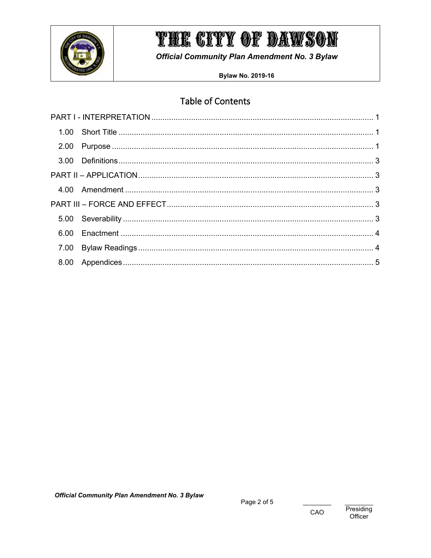

**Official Community Plan Amendment No. 3 Bylaw** 

**Bylaw No. 2019-16** 

# **Table of Contents**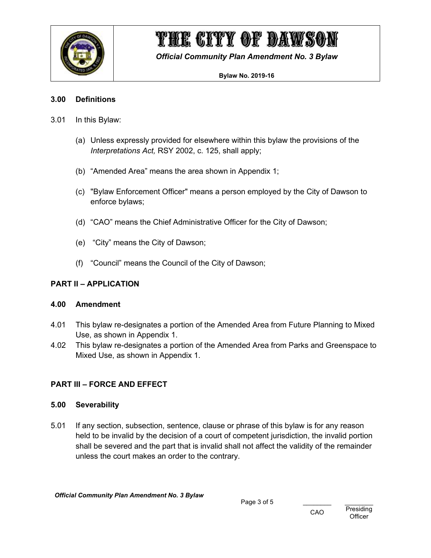

*Official Community Plan Amendment No. 3 Bylaw*

#### **Bylaw No. 2019-16**

### <span id="page-2-0"></span>**3.00 Definitions**

- 3.01 In this Bylaw:
	- (a) Unless expressly provided for elsewhere within this bylaw the provisions of the *Interpretations Act,* RSY 2002, c. 125, shall apply;
	- (b) "Amended Area" means the area shown in Appendix 1;
	- (c) "Bylaw Enforcement Officer" means a person employed by the City of Dawson to enforce bylaws;
	- (d) "CAO" means the Chief Administrative Officer for the City of Dawson;
	- (e) "City" means the City of Dawson;
	- (f) "Council" means the Council of the City of Dawson;

# <span id="page-2-1"></span>**PART II – APPLICATION**

### <span id="page-2-2"></span>**4.00 Amendment**

- 4.01 This bylaw re-designates a portion of the Amended Area from Future Planning to Mixed Use, as shown in Appendix 1.
- 4.02 This bylaw re-designates a portion of the Amended Area from Parks and Greenspace to Mixed Use, as shown in Appendix 1.

# <span id="page-2-3"></span>**PART III – FORCE AND EFFECT**

### <span id="page-2-4"></span>**5.00 Severability**

5.01 If any section, subsection, sentence, clause or phrase of this bylaw is for any reason held to be invalid by the decision of a court of competent jurisdiction, the invalid portion shall be severed and the part that is invalid shall not affect the validity of the remainder unless the court makes an order to the contrary.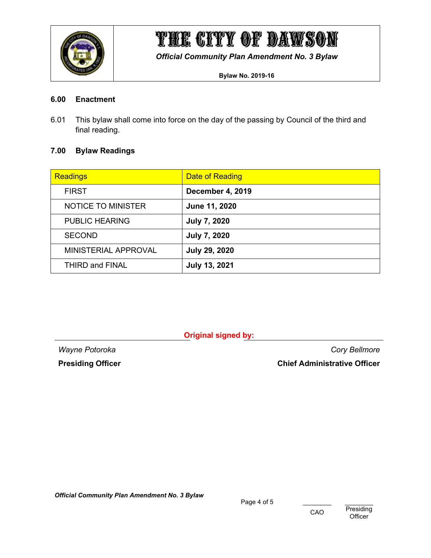

*Official Community Plan Amendment No. 3 Bylaw*

**Bylaw No. 2019-16**

### <span id="page-3-0"></span>**6.00 Enactment**

6.01 This bylaw shall come into force on the day of the passing by Council of the third and final reading.

### <span id="page-3-1"></span>**7.00 Bylaw Readings**

| <b>Readings</b>        | <b>Date of Reading</b> |
|------------------------|------------------------|
| <b>FIRST</b>           | December 4, 2019       |
| NOTICE TO MINISTER     | June 11, 2020          |
| <b>PUBLIC HEARING</b>  | <b>July 7, 2020</b>    |
| <b>SECOND</b>          | <b>July 7, 2020</b>    |
| MINISTERIAL APPROVAL   | <b>July 29, 2020</b>   |
| <b>THIRD and FINAL</b> | <b>July 13, 2021</b>   |

**Original signed by:**

*Wayne Potoroka Cory Bellmore* **Presiding Officer Chief Administrative Officer**